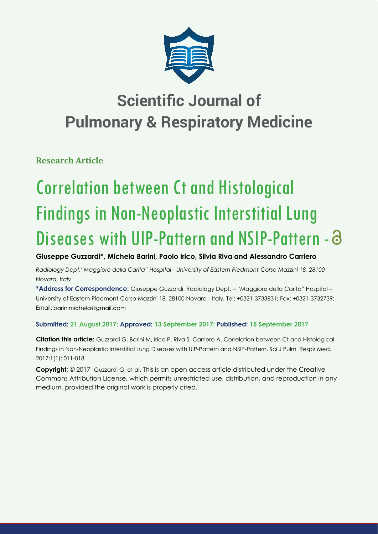

**Research Article**

# Correlation between Ct and Histological Findings in Non-Neoplastic Interstitial Lung Diseases with UIP-Pattern and NSIP-Pattern -  $\partial$

## **Giuseppe Guzzardi\*, Michela Barini, Paolo Irico, Silvia Riva and Alessandro Carriero**

*Radiology Dept,"Maggiore della Carita" Hospital - University of Eastern Piedmont-Corso Mazzini 18, 28100 Novara, Italy*

**\*Address for Correspondence:** Giuseppe Guzzardi, Radiology Dept. – "Maggiore della Carita" Hospital – University of Eastern Piedmont-Corso Mazzini 18, 28100 Novara - Italy, Tel: +0321-3733831; Fax: +0321-3732739; Email: barinimichela@gmail.com

## **Submitted: 21 August 2017; Approved: 13 September 2017; Published: 15 September 2017**

**Citation this article:** Guzzardi G, Barini M, Irico P, Riva S, Carriero A. Correlation between Ct and Histological Findings in Non-Neoplastic Interstitial Lung Diseases with UIP-Pattern and NSIP-Pattern. Sci J Pulm Respir Med. 2017;1(1): 011-018.

**Copyright:** © 2017 Guzzardi G, et al. This is an open access article distributed under the Creative Commons Attribution License, which permits unrestricted use, distribution, and reproduction in any medium, provided the original work is properly cited.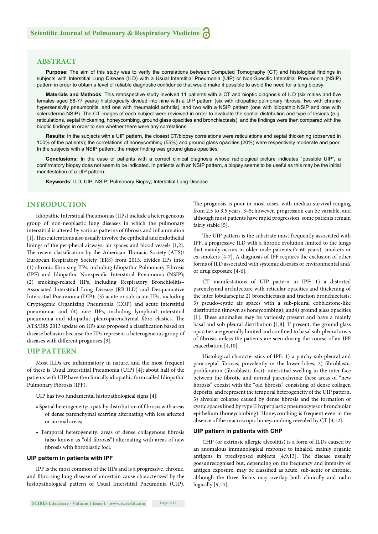#### **ABSTRACT**

**Purpose**: The aim of this study was to verify the correlations between Computed Tomography (CT) and histological findings in subjects with Interstitial Lung Disease (ILD) with a Usual Interstitial Pneumonia (UIP) or Non-Specific Interstitial Pneumonia (NSIP) pattern in order to obtain a level of reliable diagnostic confidence that would make it possible to avoid the need for a lung biopsy.

Materials and Methods: This retrospective study involved 11 patients with a CT and bioptic diagnosis of ILD (six males and five females aged 58-77 years) histologically divided into nine with a UIP pattern (six with idiopathic pulmonary fibrosis, two with chronic hypersensivity pneumonitis, and one with rheumatoid arthritis), and two with a NSIP pattern (one with idiopathic NSIP and one with scleroderma NSIP). The CT images of each subject were reviewed in order to evaluate the spatial distribution and type of lesions (e.g. reticulations, septal thickening, honeycombing, ground glass opacities and bronchiectasis), and the findings were then compared with the bioptic findings in order to see whether there were any correlations.

**Results**: In the subjects with a UIP pattern, the closest CT/biopsy correlations were reticulations and septal thickening (observed in 100% of the patients); the correlations of honeycombing (55%) and ground glass opacities (20%) were respectively moderate and poor. In the subjects with a NSIP pattern, the major finding was ground glass opacities.

**Conclusions:** In the case of patients with a correct clinical diagnosis whose radiological picture indicates "possible UIP", a confirmatory biopsy does not seem to be indicated. In patients with an NSIP pattern, a biopsy seems to be useful as this may be the initial manifestation of a UIP pattern.

**Keywords:** ILD; UIP; NSIP; Pulmonary Biopsy; Interstitial Lung Disease

#### **INTRODUCTION**

Idiopathic Interstitial Pneumonias (IIPs) include a heterogeneous group of non-neoplastic lung diseases in which the pulmonary interstitial is altered by various patterns of fibrosis and inflammation [1]. These alterations also usually involve the epithelial and endothelial linings of the peripheral airways, air spaces and blood vessels [1,2]. The recent classification by the American Thoracic Society (ATS)/ European Respiratory Society (ERS) from 2013, divides IIPs into: (1) chronic fibro sing IIPs, including Idiopathic Pulmonary Fibrosis (IPF) and Idiopathic Nonspecific Interstitial Pneumonia (NSIP); (2) smoking-related IIPs, including Respiratory Bronchiolitis– Associated Interstitial Lung Disease (RB-ILD) and Desquamative Interstitial Pneumonia (DIP); (3) acute or sub-acute IIPs, including Cryptogenic Organizing Pneumonia (COP) and acute interstitial pneumonia; and (4) rare IIPs, including lymphoid interstitial pneumonia and idiopathic pleuroparenchymal fibro elastics. The ATS/ERS 2013 update on IIPs also proposed a classification based on disease behavior because the IIPs represent a heterogeneous group of diseases with different prognoses [3].

#### **UIP PATTERN**

Most ILDs are inflammatory in nature, and the most frequent of these is Usual Interstitial Pneumonia (UIP) [4]; about half of the patients with UIP have the clinically idiopathic form called Idiopathic Pulmonary Fibrosis (IPF).

UIP has two fundamental histopathological signs [4]:

- Spatial heterogeneity: a patchy distribution of fibrosis with areas of dense parenchymal scarring alternating with less affected or normal areas;
- Temporal heterogeneity: areas of dense collagenous fibrosis (also known as "old fibrosis") alternating with areas of new fibrosis with fibroblastic foci.

#### **UIP pattern in patients with IPF**

IPF is the most common of the IIPs and is a progressive, chronic, and fibro sing lung disease of uncertain cause characterized by the histopathological pattern of Usual Interstitial Pneumonia (UIP). The prognosis is poor in most cases, with median survival ranging from 2.5 to 3.5 years. 3–5; however, progression can be variable, and although most patients have rapid progression, some patients remain fairly stable [5].

The UIP pattern is the substrate most frequently associated with IPF, a progressive ILD with a fibrotic evolution limited to the lungs that mainly occurs in older male patients (> 60 years), smokers or ex-smokers [4-7]. A diagnosis of IPF requires the exclusion of other forms of ILD associated with systemic diseases or environmental and/ or drug exposure [4-6].

CT manifestations of UIP pattern in IPF: 1) a distorted parenchymal architecture with reticular opacities and thickening of the inter lobularsepta; 2) bronchiectasis and traction bronchiectasis; 3) pseudo-cystic air spaces with a sub-pleural cobblestone-like distribution (known as honeycombing); and4) ground glass opacities [1]. These anomalies may be variously present and have a mainly basal and sub-pleural distribution [1,8]. If present, the ground glass opacities are generally limited and confined to basal sub-pleural areas of fibrosis unless the patients are seen during the course of an IPF exacerbation [4,10].

Histological characteristics of IPF: 1) a patchy sub-pleural and para-septal fibrosis, prevalently in the lower lobes, 2) fibroblastic proliferation (fibroblastic foci): interstitial swelling in the inter face between the fibrotic and normal parenchyma; these areas of "new fibrosis" coexist with the "old fibrosis" consisting of dense collagen deposits, and represent the temporal heterogeneity of the UIP pattern, 3) alveolar collapse caused by dense fibrosis and the formation of cystic spaces lined by type II hyperplastic pneumocytesor bronchiolar epithelium (honeycombing). Honeycombing is frequent even in the absence of the macroscopic honeycombing revealed by CT [4,12].

#### **UIP pattern in patients with CHP**

CHP (or extrinsic allergic alveolitis) is a form of ILDs caused by an anomalous immunological response to inhaled, mainly organic antigens in predisposed subjects  $[4,9,13]$ . The disease usually goesunrecognised but, depending on the frequency and intensity of antigen exposure, may be classified as acute, sub-acute or chronic, although the three forms may overlap both clinically and radio logically [9,14].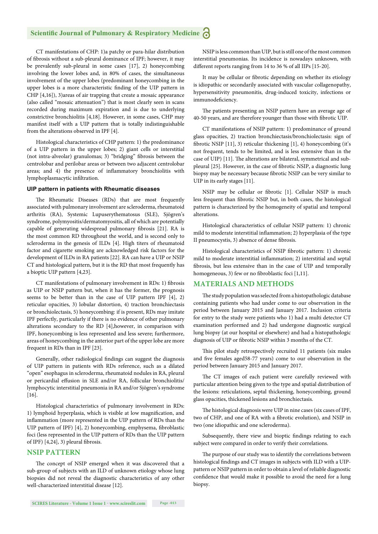CT manifestations of CHP: 1)a patchy or para-hilar distribution of fibrosis without a sub-pleural dominance of IPF; however, it may be prevalently sub-pleural in some cases [17], 2) honeycombing involving the lower lobes and, in 80% of cases, the simultaneous involvement of the upper lobes (predominant honeycombing in the upper lobes is a more characteristic finding of the UIP pattern in CHP [4,16]), 3)areas of air trapping that create a mosaic appearance (also called "mosaic attenuation") that is most clearly seen in scans recorded during maximum expiration and is due to underlying constrictive bronchiolitis [4,18]. However, in some cases, CHP may manifest itself with a UIP pattern that is totally indistinguishable from the alterations observed in IPF [4].

Histological characteristics of CHP pattern: 1) the predominance of a UIP pattern in the upper lobes; 2) giant cells or interstitial (not intra-alveolar) granulomas; 3) "bridging" fibrosis between the centrolobar and perilobar areas or between two adjacent centrolobar areas; and 4) the presence of inflammatory bronchiolitis with lymphoplasmacytic infiltration.

#### **UIP pattern in patients with Rheumatic diseases**

The Rheumatic Diseases (RDs) that are most frequently associated with pulmonary involvement are scleroderma, rheumatoid arthritis (RA), Systemic Lupuserythematosus (SLE), Sjögren's syndrome, polymyositis/dermatomyositis, all of which are potentially capable of generating widespread pulmonary fibrosis [21]. RA is the most common RD throughout the world, and is second only to scleroderma in the genesis of ILDs [4]. High titers of rheumatoid factor and cigarette smoking are acknowledged risk factors for the development of ILDs in RA patients [22]. RA can have a UIP or NSIP CT and histological pattern, but it is the RD that most frequently has a bioptic UIP pattern [4,23].

CT manifestations of pulmonary involvement in RDs: 1) fibrosis as UIP or NSIP pattern but, when it has the former, the prognosis seems to be better than in the case of UIP pattern IPF [4], 2) reticular opacities, 3) lobular distortion, 4) traction bronchiectasis or bronchiolectasis, 5) honeycombing: if is present, RDs may imitate IPF perfectly, particularly if there is no evidence of other pulmonary alterations secondary to the RD [4],however, in comparison with IPF, honeycombing is less represented and less severe; furthermore, areas of honeycombing in the anterior part of the upper lobe are more frequent in RDs than in IPF [23].

Generally, other radiological findings can suggest the diagnosis of UIP pattern in patients with RDs reference, such as a dilated "open" esophagus in scleroderma, rheumatoid nodules in RA, pleural or pericardial effusion in SLE and/or RA, follicular bronchiolitis/ lymphocytic interstitial pneumonia in RA and/or Sjögren's syndrome [16].

Histological characteristics of pulmonary involvement in RDs: 1) lymphoid hyperplasia, which is visible at low magnification, and inflammation (more represented in the UIP pattern of RDs than the UIP pattern of IPF) [4], 2) honeycombing, emphysema, fibroblastic foci (less represented in the UIP pattern of RDs than the UIP pattern of IPF)  $[4,24]$ , 3) pleural fibrosis.

#### **NSIP PATTERN**

The concept of NSIP emerged when it was discovered that a sub-group of subjects with an ILD of unknown etiology whose lung biopsies did not reveal the diagnostic characteristics of any other well-characterized interstitial disease [12].

NSIP is less common than UIP, but is still one of the most common interstitial pneumonias. Its incidence is nowadays unknown, with different reports ranging from 14 to 36 % of all IIPs [15-20].

It may be cellular or fibrotic depending on whether its etiology is idiopathic or secondarily associated with vascular collagenopathy, hypersensitivity pneumonitis, drug-induced toxicity, infections or immunodeficiency.

The patients presenting an NSIP pattern have an average age of 40-50 years, and are therefore younger than those with fibrotic UIP.

CT manifestations of NSIP pattern: 1) predominance of ground glass opacities, 2) traction bronchiectasis/bronchiolectasis: sign of fibrotic NSIP  $[11]$ , 3) reticular thickening  $[1]$ , 4) honeycombing (it's not frequent, tends to be limited, and is less extensive than in the case of UIP) [11]. The alterations are bilateral, symmetrical and subpleural [25]. However, in the case of fibrotic NSIP, a diagnostic lung biopsy may be necessary because fibrotic NSIP can be very similar to UIP in its early stages [11].

NSIP may be cellular or fibrotic [1]. Cellular NSIP is much less frequent than fibrotic NSIP but, in both cases, the histological pattern is characterized by the homogeneity of spatial and temporal alterations.

Histological characteristics of cellular NSIP pattern: 1) chronic mild to moderate interstitial inflammation; 2) hyperplasia of the type II pneumocystis, 3) absence of dense fibrosis.

Histological characteristics of NSIP fibrotic pattern: 1) chronic mild to moderate interstitial inflammation; 2) interstitial and septal fibrosis, but less extensive than in the case of UIP and temporally homogeneous, 3) few or no fibroblastic foci [1,11].

#### **MATERIALS AND METHODS**

The study population was selected from a histopathologic database containing patients who had under come to our observation in the period between January 2015 and January 2017. Inclusion criteria for entry to the study were patients who 1) had a multi detector CT examination performed and 2) had undergone diagnostic surgical lung biopsy (at our hospital or elsewhere) and had a histopathologic diagnosis of UIP or fibrotic NSIP within 3 months of the CT.

This pilot study retrospectively recruited 11 patients (six males and five females aged58-77 years) come to our observation in the period between January 2015 and January 2017.

The CT images of each patient were carefully reviewed with particular attention being given to the type and spatial distribution of the lesions: reticulations, septal thickening, honeycombing, ground glass opacities, thickened lesions and bronchiectasis.

The histological diagnosis were UIP in nine cases (six cases of IPF, two of CHP, and one of RA with a fibrotic evolution), and NSIP in two (one idiopathic and one scleroderma).

Subsequently, there view and bioptic findings relating to each subject were compared in order to verify their correlations.

The purpose of our study was to identify the correlations between histological findings and CT images in subjects with ILD with a UIPpattern or NSIP pattern in order to obtain a level of reliable diagnostic confidence that would make it possible to avoid the need for a lung biopsy.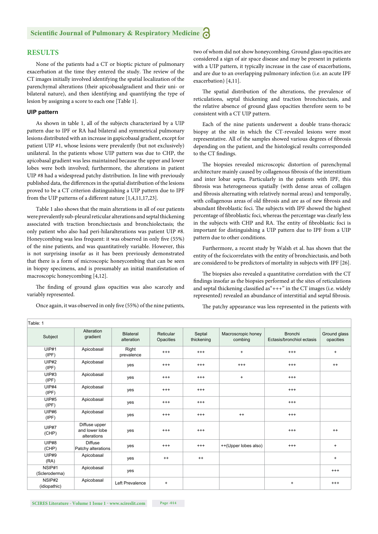#### **RESULTS**

None of the patients had a CT or bioptic picture of pulmonary exacerbation at the time they entered the study. The review of the CT images initially involved identifying the spatial localization of the parenchymal alterations (their apicobasalgradient and their uni- or bilateral nature), and then identifying and quantifying the type of lesion by assigning a score to each one [Table 1].

#### **UIP pattern**

As shown in table 1, all of the subjects characterized by a UIP pattern due to IPF or RA had bilateral and symmetrical pulmonary lesions distributed with an increase in gapicobasal gradient, except for patient UIP #1, whose lesions were prevalently (but not exclusively) unilateral. In the patients whose UIP pattern was due to CHP, the apicobasal gradient was less maintained because the upper and lower lobes were both involved; furthermore, the alterations in patient UIP #8 had a widespread patchy distribution. In line with previously published data, the differences in the spatial distribution of the lesions proved to be a CT criterion distinguishing a UIP pattern due to IPF from the UIP patterns of a different nature  $[1,4,11,17,23]$ .

Table 1 also shows that the main alterations in all of our patients were prevalently sub-pleural reticular alterations and septal thickening associated with traction bronchiectasis and bronchiolectasis; the only patient who also had peri-hilaralterations was patient UIP #8. Honeycombing was less frequent: it was observed in only five (55%) of the nine patients, and was quantitatively variable. However, this is not surprising insofar as it has been previously demonstrated that there is a form of microscopic honeycombing that can be seen in biopsy specimens, and is presumably an initial manifestation of macroscopic honeycombing [4,12].

The finding of ground glass opacities was also scarcely and variably represented.

Once again, it was observed in only five (55%) of the nine patients,

two of whom did not show honeycombing. Ground glass opacities are considered a sign of air space disease and may be present in patients with a UIP pattern, it typically increase in the case of exacerbations, and are due to an overlapping pulmonary infection (i.e. an acute IPF exacerbation) [4,11].

The spatial distribution of the alterations, the prevalence of reticulations, septal thickening and traction bronchiectasis, and the relative absence of ground glass opacities therefore seem to be consistent with a CT UIP pattern.

Each of the nine patients underwent a double trans-thoracic biopsy at the site in which the CT-revealed lesions were most representative. All of the samples showed various degrees of fibrosis depending on the patient, and the histological results corresponded to the CT findings.

The biopsies revealed microscopic distortion of parenchymal architecture mainly caused by collagenous fibrosis of the interstitium and inter lobar septa. Particularly in the patients with IPF, this fibrosis was heterogeneous spatially (with dense areas of collagen and fibrosis alternating with relatively normal areas) and temporally, with collagenous areas of old fibrosis and are as of new fibrosis and abundant fibroblastic foci. The subjects with IPF showed the highest percentage of fibroblastic foci, whereas the percentage was clearly less in the subjects with CHP and RA. The entity of fibroblastic foci is important for distinguishing a UIP pattern due to IPF from a UIP pattern due to other conditions.

Furthermore, a recent study by Walsh et al. has shown that the entity of the focicorrelates with the entity of bronchiectasis, and both are considered to be predictors of mortality in subjects with IPF [26].

The biopsies also revealed a quantitative correlation with the CT findings insofar as the biopsies performed at the sites of reticulations and septal thickening classified as " $++$ " in the CT images (i.e. widely represented) revealed an abundance of interstitial and septal fibrosis.

The patchy appearance was less represented in the patients with

| Table: 1                |                                                |                                |                                  |                      |                                  |                                             |                                  |
|-------------------------|------------------------------------------------|--------------------------------|----------------------------------|----------------------|----------------------------------|---------------------------------------------|----------------------------------|
| Subject                 | Alteration<br>gradient                         | <b>Bilateral</b><br>alteration | Reticular<br>Opacities           | Septal<br>thickening | Macroscropic honey<br>combing    | <b>Bronchi</b><br>Ectasis/bronchiol ectasis | Ground glass<br>opacities        |
| UIP#1<br>(IPF)          | Apicobasal                                     | Right<br>prevalence            | $^{++}$                          | $^{+++}$             | $\begin{array}{c} + \end{array}$ | $^{++}$                                     | $\begin{array}{c} + \end{array}$ |
| UIP#2<br>(IPF)          | Apicobasal                                     | yes                            | $^{+++}$                         | $^{+++}$             | $^{+++}$                         | $^{++}$                                     | $++$                             |
| UIP#3<br>(IPF)          | Apicobasal                                     | yes                            | $^{++}$                          | $^{++}$              | $\ddot{}$                        | $^{+++}$                                    |                                  |
| <b>UIP#4</b><br>(IPF)   | Apicobasal                                     | yes                            | $^{+++}$                         | $^{+++}$             |                                  | $^{+++}$                                    |                                  |
| <b>UIP#5</b><br>(IPF)   | Apicobasal                                     | yes                            | $^{++}$                          | $^{++}$              |                                  | $^{+++}$                                    |                                  |
| <b>UIP#6</b><br>(IPF)   | Apicobasal                                     | yes                            | $^{+++}$                         | $^{+++}$             | $++$                             | $^{+++}$                                    |                                  |
| <b>UIP#7</b><br>(CHP)   | Diffuse upper<br>and lower lobe<br>alterations | yes                            | $^{++}$                          | $+++$                |                                  | $^{++}$                                     | $++$                             |
| <b>UIP#8</b><br>(CHP)   | <b>Diffuse</b><br>Patchy alterations           | yes                            | $^{++}$                          | $^{+++}$             | ++(Upper lobes also)             | $^{++}$                                     | $\ddot{}$                        |
| <b>UIP#9</b><br>(RA)    | Apicobasal                                     | yes                            | $++$                             | $++$                 |                                  |                                             | $\begin{array}{c} + \end{array}$ |
| NSIP#1<br>(Scleroderma) | Apicobasal                                     | yes                            |                                  |                      |                                  |                                             | $^{+++}$                         |
| NSIP#2<br>(idiopathic)  | Apicobasal                                     | Left Prevalence                | $\begin{array}{c} + \end{array}$ |                      |                                  | $\ddot{}$                                   | $^{++}$                          |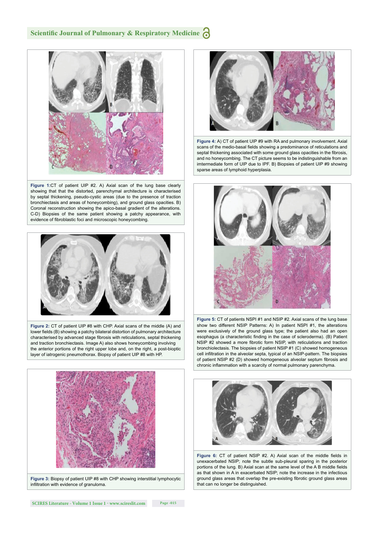

**Figure 1:**CT of patient UIP #2. A) Axial scan of the lung base clearly showing that that the distorted, parenchymal architecture is characterised by septal thickening, pseudo-cystic areas (due to the presence of traction bronchiectasis and areas of honeycombing), and ground glass opacities. B) Coronal reconstruction showing the apico-basal gradient of the alterations. C-D) Biopsies of the same patient showing a patchy appearance, with evidence of fibroblastic foci and microscopic honeycombing.



**Figure 2:** CT of patient UIP #8 with CHP. Axial scans of the middle (A) and lower fields (B) showing a patchy bilateral distortion of pulmonary architecture characterised by advanced stage fibrosis with reticulations, septal thickening and traction bronchiectasis. Image A) also shows honeycombing involving the anterior portions of the right upper lobe and, on the right, a post-bioptic layer of iatrogenic pneumothorax. Biopsy of patient UIP #8 with HP.



**Figure 3:** Biopsy of patient UIP #8 with CHP showing interstitial lymphocytic infiltration with evidence of granuloma.



**Figure 4:** A) CT of patient UIP #9 with RA and pulmonary involvement. Axial scans of the medio-basal fields showing a predominance of reticulations and septal thickening associated with some ground glass opacities in the fibrosis, and no honeycombing. The CT picture seems to be indistinguishable from an imtermediate form of UIP due to IPF. B) Biopsies of patient UIP #9 showing sparse areas of lymphoid hyperplasia.



**Figure 5:** CT of patients NSPI #1 and NSIP #2. Axial scans of the lung base show two different NSIP Patterns: A) In patient NSPI #1, the alterations were exclusively of the ground glass type; the patient also had an open esophagus (a characteristic finding in the case of scleroderma). (B) Patient NSIP #2 showed a more fibrotic form NSIP, with reticulations and traction bronchiolectasis. The biopsies of patient NSIP #1 (C) showed homogeneous cell infiltration in the alveolar septa, typical of an NSIP-pattern. The biopsies of patient NSIP #2 (D) showed homogeneous alveolar septum fibrosis and chronic inflammation with a scarcity of normal pulmonary parenchyma.



Figure 6: CT of patient NSIP #2. A) Axial scan of the middle fields in unexacerbated NSIP; note the subtle sub-pleural sparing in the posterior portions of the lung. B) Axial scan at the same level of the A B middle fields as that shown in A in exacerbated NSIP; note the increase in the infectious ground glass areas that overlap the pre-existing fibrotic ground glass areas that can no longer be distinguished.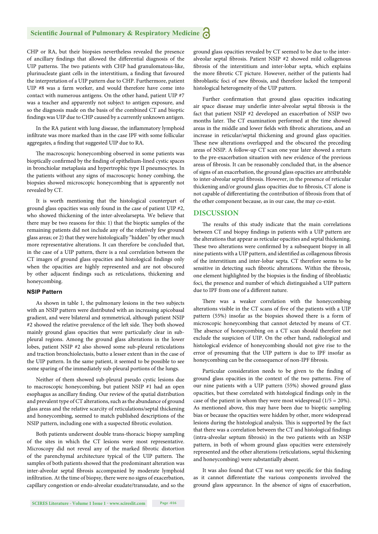CHP or RA, but their biopsies nevertheless revealed the presence of ancillary findings that allowed the differential diagnosis of the UIP patterns. The two patients with CHP had granulomatous-like, plurinucleate giant cells in the interstitium, a finding that favoured the interpretation of a UIP pattern due to CHP. Furthermore, patient UIP #8 was a farm worker, and would therefore have come into contact with numerous antigens. On the other hand, patient UIP #7 was a teacher and apparently not subject to antigen exposure, and so the diagnosis made on the basis of the combined CT and bioptic findings was UIP due to CHP caused by a currently unknown antigen.

In the RA patient with lung disease, the inflammatory lymphoid infiltrate was more marked than in the case IPF with some follicular aggregates, a finding that suggested UIP due to RA.

The macroscopic honeycombing observed in some patients was bioptically confirmed by the finding of epithelium-lined cystic spaces in bronchiolar metaplasia and hypertrophic type II pneumocytes. In the patients without any signs of macroscopic honey combing, the biopsies showed microscopic honeycombing that is apparently not revealed by CT.

It is worth mentioning that the histological counterpart of ground glass opacities was only found in the case of patient UIP #2, who showed thickening of the inter-alveolarsepta. We believe that there may be two reasons for this: 1) that the bioptic samples of the remaining patients did not include any of the relatively few ground glass areas; or 2) that they were histologically "hidden" by other much more representative alterations. It can therefore be concluded that, in the case of a UIP pattern, there is a real correlation between the CT images of ground glass opacities and histological findings only when the opacities are highly represented and are not obscured by other adjacent findings such as reticulations, thickening and honeycombing.

#### **NSIP Pattern**

As shown in table 1, the pulmonary lesions in the two subjects with an NSIP pattern were distributed with an increasing apicobasal gradient, and were bilateral and symmetrical, although patient NSIP #2 showed the relative prevalence of the left side. They both showed mainly ground glass opacities that were particularly clear in subpleural regions. Among the ground glass alterations in the lower lobes, patient NSIP #2 also showed some sub-pleural reticulations and traction bronchiolectasis, butto a lesser extent than in the case of the UIP pattern. In the same patient, it seemed to be possible to see some sparing of the immediately sub-pleural portions of the lungs.

Neither of them showed sub-pleural pseudo cystic lesions due to macroscopic honeycombing, but patient NSIP #1 had an open esophagus as ancillary finding. Our review of the spatial distribution and prevalent type of CT alterations, such as the abundance of ground glass areas and the relative scarcity of reticulations/septal thickening and honeycombing, seemed to match published descriptions of the NSIP pattern, including one with a suspected fibrotic evolution.

Both patients underwent double trans-thoracic biopsy sampling of the sites in which the CT lesions were most representative. Microscopy did not reveal any of the marked fibrotic distortion of the parenchymal architecture typical of the UIP pattern. The samples of both patients showed that the predominant alteration was inter-alveolar septal fibrosis accompanied by moderate lymphoid infiltration. At the time of biopsy, there were no signs of exacerbation, capillary congestion or endo-alveolar exudate/transudate, and so the ground glass opacities revealed by CT seemed to be due to the interalveolar septal fibrosis. Patient NSIP #2 showed mild collagenous fibrosis of the interstitium and inter-lobar septa, which explains the more fibrotic CT picture. However, neither of the patients had fibroblastic foci of new fibrosis, and therefore lacked the temporal histological heterogeneity of the UIP pattern.

Further confirmation that ground glass opacities indicating air space disease may underlie inter-alveolar septal fibrosis is the fact that patient NSIP #2 developed an exacerbation of NSIP two months later. The CT examination performed at the time showed areas in the middle and lower fields with fibrotic alterations, and an increase in reticular/septal thickening and ground glass opacities. These new alterations overlapped and the obscured the preceding areas of NSIP. A follow-up CT scan one year later showed a return to the pre-exacerbation situation with new evidence of the previous areas of fibrosis. It can be reasonably concluded that, in the absence of signs of an exacerbation, the ground glass opacities are attributable to inter-alveolar septal fibrosis. However, in the presence of reticular thickening and/or ground glass opacities due to fibrosis, CT alone is not capable of differentiating the contribution of fibrosis from that of the other component because, as in our case, the may co-exist.

#### **DISCUSSION**

The results of this study indicate that the main correlations between CT and biopsy findings in patients with a UIP pattern are the alterations that appear as reticular opacities and septal thickening. These two alterations were confirmed by a subsequent biopsy in all nine patients with a UIP pattern, and identified as collagenous fibrosis of the interstitium and inter-lobar septa. CT therefore seems to be sensitive in detecting such fibrotic alterations. Within the fibrosis, one element highlighted by the biopsies is the finding of fibroblastic foci, the presence and number of which distinguished a UIP pattern due to IPF from one of a different nature.

There was a weaker correlation with the honeycombing alterations visible in the CT scans of five of the patients with a UIP pattern (55%) insofar as the biopsies showed there is a form of microscopic honeycombing that cannot detected by means of CT. The absence of honeycombing on a CT scan should therefore not exclude the suspicion of UIP. On the other hand, radiological and histological evidence of honeycombing should not give rise to the error of presuming that the UIP pattern is due to IPF insofar as honeycombing can be the consequence of non-IPF fibrosis.

Particular consideration needs to be given to the finding of ground glass opacities in the context of the two patterns. Five of our nine patients with a UIP pattern (55%) showed ground glass opacities, but these correlated with histological findings only in the case of the patient in whom they were most widespread  $(1/5 = 20\%).$ As mentioned above, this may have been due to bioptic sampling bias or because the opacities were hidden by other, more widespread lesions during the histological analysis. This is supported by the fact that there was a correlation between the CT and histological findings (intra-alveolar septum fibrosis) in the two patients with an NSIP pattern, in both of whom ground glass opacities were extensively represented and the other alterations (reticulations, septal thickening and honeycombing) were substantially absent.

It was also found that CT was not very specific for this finding as it cannot differentiate the various components involved the ground glass appearance. In the absence of signs of exacerbation,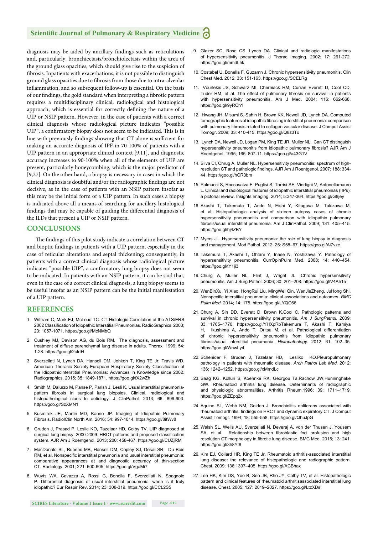diagnosis may be aided by ancillary findings such as reticulations and, particularly, bronchiectasis/bronchiolectasis within the area of the ground glass opacities, which should give rise to the suspicion of fibrosis. Inpatients with exacerbations, it is not possible to distinguish ground glass opacities due to fibrosis from those due to intra-alveolar inflammation, and so subsequent follow-up is essential. On the basis of our findings, the gold standard when interpreting a fibrotic pattern requires a multidisciplinary clinical, radiological and histological approach, which is essential for correctly defining the nature of a UIP or NSIP pattern. However, in the case of patients with a correct clinical diagnosis whose radiological picture indicates "possible UIP", a confirmatory biopsy does not seem to be indicated. This is in line with previously findings showing that CT alone is sufficient for making an accurate diagnosis of IPF in 70-100% of patients with a UIP pattern in an appropriate clinical context [9,11], and diagnostic accuracy increases to 90-100% when all of the elements of UIP are present, particularly honeycombing, which is the major predictor of [9,27]. On the other hand, a biopsy is necessary in cases in which the clinical diagnosis is doubtful and/or the radiographic findings are not decisive, as in the case of patients with an NSIP pattern insofar as this may be the initial form of a UIP pattern. In such cases a biopsy is indicated above all a means of searching for ancillary histological findings that may be capable of guiding the differential diagnosis of the ILDs that present a UIP or NSIP pattern.

#### **CONCLUSIONS**

The findings of this pilot study indicate a correlation between CT and bioptic findings in patients with a UIP pattern, especially in the case of reticular alterations and septal thickening; consequently, in patients with a correct clinical diagnosis whose radiological picture indicates "possible UIP", a confirmatory lung biopsy does not seem to be indicated. In patients with an NSIP pattern, it can be said that, even in the case of a correct clinical diagnosis, a lung biopsy seems to be useful insofar as an NSIP pattern can be the initial manifestation of a UIP pattern.

#### **REFERENCES**

- 1. Wittram C, Mark EJ, McLoud TC. CT-Histologic Correlation of the ATS/ERS 2002 Classification of Idiopathic Interstitial Pneumonias. RadioGraphics. 2003; 23: 1057-1071. https://goo.gl/McNMbQ
- 2. Cushley MJ, Davison AG, du Bois RM. The diagnosis, assessment and treatment of diffuse parenchymal lung disease in adults. Thorax*.* 1999; 54: 1-28. https://goo.gl/2ctrtH
- 3. Sverzellati N, Lynch DA, Hansell DM, Johkoh T, King TE Jr, Travis WD. American Thoracic Society-European Respiratory Society Classification of the IdiopathicInterstitial Pneumonias: Advances in Knowledge since 2002. Radiographics. 2015; 35: 1849-1871. https://goo.gl/fX2wZh
- 4. Smith M, Dalurzo M, Panse P, Parish J, Lesli K. Usual interstitial pneumoniapattern fibrosis in surgical lung biopsies. Clinical, radiological and histopathological clues to aetiology. J ClinPathol*.* 2013; 66: 896-903. https://goo.gl/SzXMN1
- 5. Kusmirek JE, Martin MD, Kanne JP. Imaging of Idiopathic Pulmonary Fibrosis. RadiolClin North Am*.* 2016; 54: 997-1014. https://goo.gl/8itWv8
- 6. Gruden J, Prasad P, Leslie KO, Tazelaar HD, Colby TV. UIP diagnosed at surgical lung biopsy, 2000-2009: HRCT patterns and proposed classification system. AJR Am J Roentgenol. 2013; 200: 458-467. https://goo.gl/CUZjRM
- 7. MacDonald SL, Rubens MB, Hansell DM, Copley SJ, Desai SR, Du Bois RM, et al. Nonspecific interstitial pneumonia and usual interstitial pneumonia: comparative appearances at and diagnostic accuracy of thin-section CT. Radiology. 2001; 221: 600-605. https://goo.gl/VgaMi7
- 8. Wuyts WA, Cavazza A, Rossi G, Bonella F, Sverzellati N, Spagnolo P. Differential diagnosis of usual interstitial pneumonia: when is it truly idiopathic? Eur Respir Rev. 2014; 23: 308-319. https://goo.gl/CCL2S5
- 9. Glazer SC, Rose CS, Lynch DA. Clinical and radiologic manifestations of hypersensitivity pneumonitis. J Thorac Imaging*.* 2002; 17: 261-272. https://goo.gl/mmdLhk
- 10. Costabel U, Bonella F, Guzamn J. Chronic hypersensitivity pneumonitis. Clin Chest Med*.* 2012; 33: 151-163. https://goo.gl/SCELRg
- 11. Vourlekis JS, Schwarz MI, Cherniack RM, Curran Everett D, Cool CD, Tuder RM, et al. The effect of pulmonary fibrosis on survival in patients with hypersensitivity pneumonitis. Am J Med. 2004; 116: 662-668. https://goo.gl/9yRCh1
- 12. Hwang JH, Misumi S, Sahin H, Brown KK, Newell JD, Lynch DA. Computed tomographic features of idiopathic fibrosing interstitial pneumonia: comparison with pulmonary fibrosis related to collagen vascular disease. J Comput Assist Tomogr. 2009; 33: 410-415. https://goo.gl/Q8z3Tx
- 13. Lynch DA, Newell JD, Logan PM, King TE JR, Muller NL. Can CT distinguish hypersensitivity pneumonitis from idiopathic pulmonary fibrosis? AJR Am J Roentgenol. 1995; 165: 807-11. https://goo.gl/a43G1V
- 14. Silva CI, Chrug A, Muller NL. Hypersensitivity pneumonitis: spectrum of highresolution CT and pathologic findings. AJR Am J Roentgenol. 2007; 188: 334-44. https://goo.gl/hCR3bm
- 15. Palmucci S, Roccasalva F, Puglisi S, Torrisi SE, Vindigni V, Antonellamauro L. Clinical and radiological features of idiopathic interstitial pneumonias (IIPs): a pictorial review. Insights Imaging. 2014; 5:347-364. https://goo.gl/G8jey
- 16. Akashi T, Takemuta T, Ando N, Eishi Y, Kitagava M, Takizawa M, et al. Histopathologic analysis of sixteen autopsy cases of chronic hypersensitivity pneumonitis and comparison with idiopathic pulmonary fibrosis/usual interstitial pneumonia. Am J ClinPathol. 2009; 131: 405-415. https://goo.gl/hj4ZBY
- 17. Myers JL. Hypersensitivity pneumonia: the role of lung biopsy in diagnosis and management. Mod Pathol. 2012; 25: S58–67. https://goo.gl/Ai7vze
- 18. Takemura T, Akashi T, Ohtani Y, Inase N, Yoshizawa Y. Pathology of hypersensitivity pneumonitis. CurrOpinPulm Med. 2008; 14: 440–454. https://goo.gl/tY1ji3
- 19. Churg A, Muller NL, Flint J, Wright JL. Chronic hypersensitivity pneumonitis. Am J Surg Pathol. 2006; 30: 201–208. https://goo.gl/V4Ah1e
- 20. WenBinXu, Yi Xiao, HongRui Liu, MingWei Qin, WenJieZheng, JuHong Shi. Nonspecific interstitial pneumonia: clinical associations and outcomes. **BMC** *Pulm Med.* 2014; 14: 175. https://goo.gl/LYQC66
- 21. Churg A, Sin DD, Everett D, Brown K,Cool C. Pathologic patterns and survival in chronic hypersensitivity pneumonitis. *Am J SurgPathol*. 2009; 33: 1765–1770. https://goo.gl/YHXpRbTakemura T, Akashi T, Kamiya H, Ikushima A, Ando T, Oritsu M, et al. Pathological differentiation of chronic hypersensitivity pneumonitis from idiopathic pulmonary fibrosis/usual interstitial pneumonia. Histopathology. 2012; 61: 102-35. https://goo.gl/WnwLy4
- 22. Schenider F, Gruden J, Tazelaar HD, Lesliko KO.Pleuropulmonary pathology in patients with rheumatic disease. *Arch Pathol Lab Med.* 2012; 136: 1242–1252. https://goo.gl/xMmdLc
- 23. Saag KG, Kolluri S, Koehnke RK, Georgou Ta,Rachow JW,Hunninghake GW. Rheumatoid arthritis lung disease. Determinants of radiographic and physiologic abnormalities. Arthritis Rheum*.*1996; 39: 1711–1719. https://goo.gl/ZEpq2x
- 24. Aquino SL, Webb NM, Golden J. Bronchiolitis obliterans associated with rheumatoid arthritis: findings on HRCT and dynamic expiratory CT. J Comput Assist Tomogr*.* 1994; 18: 555-558. https://goo.gl/QhuJpG
- 25. Walsh SL, Wells AU, Sverzellati N, Deveraj A, von der Thusen J, Yousem SA, et al. Relationship between fibroblastic foci profusion and high resolution CT morphology in fibrotic lung disease. BMC Med. 2015; 13: 241. https://goo.gl/3h8Yf8
- 26. Kim EJ, Collard HR, King TE Jr. Rheumatoid arthritis-associated interstitial lung disease: the relevance of histopathologic and radiographic pattern. Chest. 2009; 136:1397–405. https://goo.gl/ACBhax
- 27. Lee HK, Kim DS, Yoo B, Seo JB, Rho JY, Colby TV, et al. Histopathologic pattern and clinical features of rheumatoid arthritisassociated interstitial lung disease. Chest. 2005; 127: 2019–2027. https://goo.gl/LtzXDs